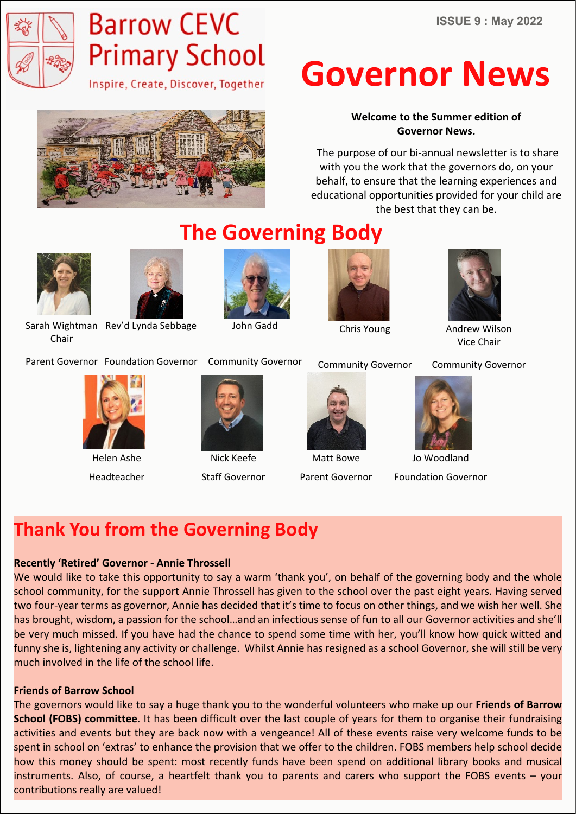

# **Barrow CEVC Primary School**

Inspire, Create, Discover, Together



# **Governor News**

**Welcome to the Summer edition of Governor News.**

 The purpose of our bi-annual newsletter is to share with you the work that the governors do, on your behalf, to ensure that the learning experiences and educational opportunities provided for your child are the best that they can be.

Chair



Sarah Wightman Rev'd Lynda Sebbage

Community Governor Parent Governor Foundation Governor



**The Governing Body**

John Gadd



Chris Young



Andrew Wilson Vice Chair

Community Governor



Helen Ashe Headteacher



Nick Keefe Staff Governor



Matt Bowe Parent Governor

Community Governor



Jo Woodland Foundation Governor

# **Thank You from the Governing Body**

#### **Recently 'Retired' Governor - Annie Throssell**

We would like to take this opportunity to say a warm 'thank you', on behalf of the governing body and the whole school community, for the support Annie Throssell has given to the school over the past eight years. Having served two four-year terms as governor, Annie has decided that it's time to focus on other things, and we wish her well. She has brought, wisdom, a passion for the school…and an infectious sense of fun to all our Governor activities and she'll be very much missed. If you have had the chance to spend some time with her, you'll know how quick witted and funny she is, lightening any activity or challenge. Whilst Annie has resigned as a school Governor, she will still be very much involved in the life of the school life.

#### **Friends of Barrow School**

The governors would like to say a huge thank you to the wonderful volunteers who make up our **Friends of Barrow School (FOBS) committee**. It has been difficult over the last couple of years for them to organise their fundraising activities and events but they are back now with a vengeance! All of these events raise very welcome funds to be spent in school on 'extras' to enhance the provision that we offer to the children. FOBS members help school decide how this money should be spent: most recently funds have been spend on additional library books and musical instruments. Also, of course, a heartfelt thank you to parents and carers who support the FOBS events – your contributions really are valued!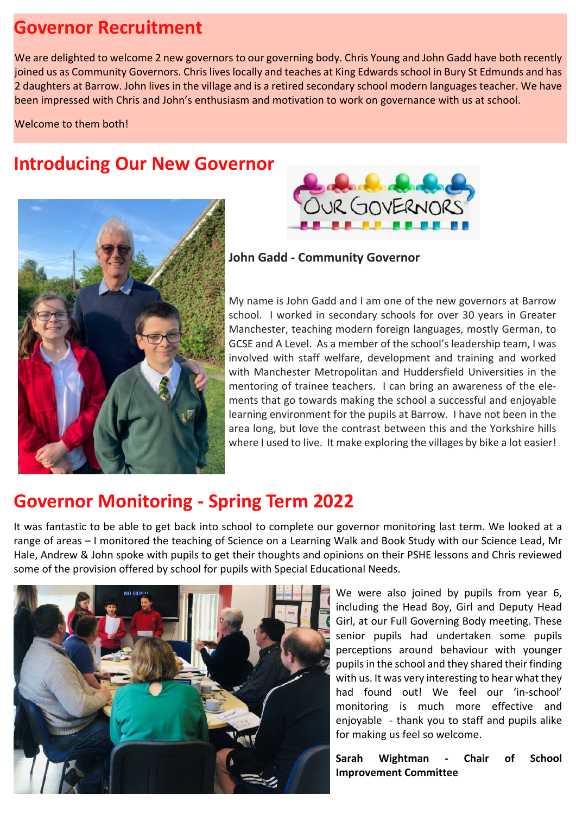## **Governor Recruitment**

We are delighted to welcome 2 new governors to our governing body. Chris Young and John Gadd have both recently joined us as Community Governors. Chris lives locally and teaches at King Edwards school in Bury St Edmunds and has 2 daughters at Barrow. John lives in the village and is a retired secondary school modern languages teacher. We have been impressed with Chris and John's enthusiasm and motivation to work on governance with us at school.

Welcome to them both!

## **Introducing Our New Governor**





**John Gadd - Community Governor**

My name is John Gadd and I am one of the new governors at Barrow school. I worked in secondary schools for over 30 years in Greater Manchester, teaching modern foreign languages, mostly German, to GCSE and A Level. As a member of the school's leadership team, I was involved with staff welfare, development and training and worked with Manchester Metropolitan and Huddersfield Universities in the mentoring of trainee teachers. I can bring an awareness of the elements that go towards making the school a successful and enjoyable learning environment for the pupils at Barrow. I have not been in the area long, but love the contrast between this and the Yorkshire hills where I used to live. It make exploring the villages by bike a lot easier!

### **Governor Monitoring - Spring Term 2022**

It was fantastic to be able to get back into school to complete our governor monitoring last term. We looked at a range of areas – I monitored the teaching of Science on a Learning Walk and Book Study with our Science Lead, Mr Hale, Andrew & John spoke with pupils to get their thoughts and opinions on their PSHE lessons and Chris reviewed some of the provision offered by school for pupils with Special Educational Needs.



We were also joined by pupils from year 6, including the Head Boy, Girl and Deputy Head Girl, at our Full Governing Body meeting. These senior pupils had undertaken some pupils perceptions around behaviour with younger pupils in the school and they shared their finding with us. It was very interesting to hear what they had found out! We feel our 'in-school' monitoring is much more effective and enjoyable - thank you to staff and pupils alike for making us feel so welcome.

**Sarah Wightman - Chair of School Improvement Committee**